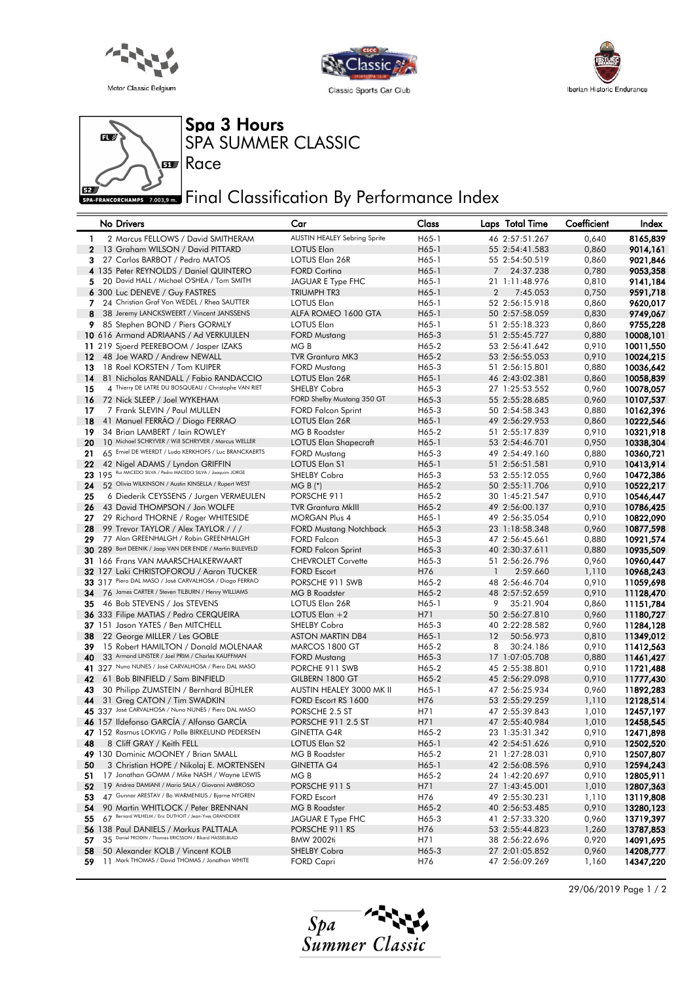





Spa 3 Hours SPA SUMMER CLASSIC



**ECORCHAMPS 7.003,9 m.** Final Classification By Performance Index

|          | No Drivers                                                                                               | Car                                               | Class          | Laps Total Time                  | Coefficient    | Index                  |
|----------|----------------------------------------------------------------------------------------------------------|---------------------------------------------------|----------------|----------------------------------|----------------|------------------------|
|          | 1<br>2 Marcus FELLOWS / David SMITHERAM                                                                  | <b>AUSTIN HEALEY Sebring Sprite</b>               | H65-1          | 46 2:57:51.267                   | 0,640          | 8165,839               |
|          | $\mathbf{2}$<br>13 Graham WILSON / David PITTARD                                                         | <b>LOTUS Elan</b>                                 | H65-1          | 55 2:54:41.583                   | 0,860          | 9014,161               |
|          | 3.<br>27 Carlos BARBOT / Pedro MATOS                                                                     | LOTUS Elan 26R                                    | H65-1          | 55 2:54:50.519                   | 0,860          | 9021,846               |
|          | 4 135 Peter REYNOLDS / Daniel QUINTERO                                                                   | <b>FORD Cortina</b>                               | H65-1          | 7<br>24:37.238                   | 0,780          | 9053,358               |
|          | 20 David HALL / Michael O'SHEA / Tom SMITH<br>5                                                          | JAGUAR E Type FHC                                 | H65-1          | 21 1:11:48.976                   | 0,810          | 9141,184               |
|          | 6 300 Luc DENEVE / Guy FASTRES                                                                           | TRIUMPH TR3                                       | H65-1          | $\overline{2}$<br>7:45.053       | 0,750          | 9591,718               |
| 7        | 24 Christian Graf Von WEDEL / Rhea SAUTTER                                                               | <b>LOTUS Elan</b>                                 | H65-1          | 52 2:56:15.918                   | 0,860          | 9620,017               |
|          | 38 Jeremy LANCKSWEERT / Vincent JANSSENS<br>8                                                            | ALFA ROMEO 1600 GTA                               | H65-1          | 50 2:57:58.059                   | 0,830          | 9749,067               |
| 9        | 85 Stephen BOND / Piers GORMLY<br>10 616 Armand ADRIAANS / Ad VERKUIJLEN                                 | <b>LOTUS Elan</b>                                 | H65-1<br>H65-3 | 51 2:55:18.323                   | 0,860          | 9755,228               |
|          | 11 219 Sjoerd PEEREBOOM / Jasper IZAKS                                                                   | <b>FORD Mustang</b><br>MG B                       | H65-2          | 51 2:55:45.727<br>53 2:56:41.642 | 0,880<br>0,910 | 10008,101<br>10011,550 |
| $12 \,$  | 48 Joe WARD / Andrew NEWALL                                                                              | <b>TVR Grantura MK3</b>                           | H65-2          | 53 2:56:55.053                   | 0,910          | 10024,215              |
| 13       | 18 Roel KORSTEN / Tom KUIPER                                                                             | <b>FORD Mustang</b>                               | H65-3          | 51 2:56:15.801                   | 0,880          | 10036,642              |
| 14       | 81 Nicholas RANDALL / Fabio RANDACCIO                                                                    | LOTUS Elan 26R                                    | H65-1          | 46 2:43:02.381                   | 0,860          | 10058,839              |
| 15       | 4 Thierry DE LATRE DU BOSQUEAU / Christophe VAN RIET                                                     | <b>SHELBY Cobra</b>                               | H65-3          | 27 1:25:53.552                   | 0,960          | 10078,057              |
| 16       | 72 Nick SLEEP / Joel WYKEHAM                                                                             | FORD Shelby Mustang 350 GT                        | H65-3          | 55 2:55:28.685                   | 0,960          | 10107,537              |
| 17       | 7 Frank SLEVIN / Paul MULLEN                                                                             | <b>FORD Falcon Sprint</b>                         | H65-3          | 50 2:54:58.343                   | 0,880          | 10162,396              |
| 18       | 41 Manuel FERRAO / Diogo FERRAO                                                                          | LOTUS Elan 26R                                    | H65-1          | 49 2:56:29.953                   | 0,860          | 10222,546              |
| 19       | 34 Brian LAMBERT / Iain ROWLEY                                                                           | MG B Roadster                                     | H65-2          | 51 2:55:17.839                   | 0,910          | 10321,918              |
| 20       | 10 Michael SCHRYVER / Will SCHRYVER / Marcus WELLER                                                      | LOTUS Elan Shapecraft                             | H65-1          | 53 2:54:46.701                   | 0,950          | 10338,304              |
| 21       | 65 Emiel DE WEERDT / Ludo KERKHOFS / Luc BRANCKAERTS                                                     | <b>FORD Mustang</b>                               | H65-3          | 49 2:54:49.160                   | 0,880          | 10360,721              |
| 22       | 42 Nigel ADAMS / Lyndon GRIFFIN<br>195 Rui MACEDO SILVA / Pedro MACEDO SILVA / Joaquim JORGE             | LOTUS Elan S1                                     | H65-1          | 51 2:56:51.581                   | 0,910          | 10413,914              |
| 23       |                                                                                                          | SHELBY Cobra                                      | H65-3          | 53 2:55:12.055                   | 0,960          | 10472,386              |
| 24       | 52 Olivia WILKINSON / Austin KINSELLA / Rupert WEST                                                      | $MG B (*)$                                        | H65-2          | 50 2:55:11.706                   | 0,910          | 10522,217              |
| 25<br>26 | 6 Diederik CEYSSENS / Jurgen VERMEULEN<br>43 David THOMPSON / Jon WOLFE                                  | PORSCHE 911                                       | H65-2          | 30 1:45:21.547<br>49 2:56:00.137 | 0,910          | 10546,447              |
| 27       | 29 Richard THORNE / Roger WHITESIDE                                                                      | <b>TVR Grantura MkIII</b><br><b>MORGAN Plus 4</b> | H65-2<br>H65-1 | 49 2:56:35.054                   | 0,910<br>0,910 | 10786,425<br>10822,090 |
| 28       | 99 Trevor TAYLOR / Alex TAYLOR / / /                                                                     | <b>FORD Mustang Notchback</b>                     | H65-3          | 23 1:18:58.348                   | 0,960          | 10877,598              |
| 29       | 77 Alan GREENHALGH / Robin GREENHALGH                                                                    | <b>FORD Falcon</b>                                | H65-3          | 47 2:56:45.661                   | 0,880          | 10921,574              |
|          | 30 289 Bart DEENIK / Jaap VAN DER ENDE / Martin BIJLEVELD                                                | <b>FORD Falcon Sprint</b>                         | H65-3          | 40 2:30:37.611                   | 0,880          | 10935,509              |
|          | 31 166 Frans VAN MAARSCHALKERWAART                                                                       | <b>CHEVROLET Corvette</b>                         | H65-3          | 51 2:56:26.796                   | 0,960          | 10960,447              |
| 32       | 127 Laki CHRISTOFOROU / Aaron TUCKER                                                                     | <b>FORD Escort</b>                                | H76            | $\mathbf{1}$<br>2:59.660         | 1,110          | 10968,243              |
| 33       | 317 Piero DAL MASO / José CARVALHOSA / Diogo FERRAO                                                      | PORSCHE 911 SWB                                   | H65-2          | 48 2:56:46.704                   | 0,910          | 11059,698              |
| 34       | 76 James CARTER / Steven TILBURN / Henry WILLIAMS                                                        | <b>MG B Roadster</b>                              | H65-2          | 48 2:57:52.659                   | 0,910          | 11128,470              |
| 35       | 46 Bob STEVENS / Jos STEVENS                                                                             | LOTUS Elan 26R                                    | H65-1          | 9<br>35:21.904                   | 0,860          | 11151,784              |
|          | <b>36</b> 333 Filipe MATIAS / Pedro CERQUEIRA                                                            | LOTUS Elan +2                                     | H71            | 50 2:56:27.810                   | 0,960          | 11180,727              |
|          | 37 151 Jason YATES / Ben MITCHELL                                                                        | SHELBY Cobra                                      | H65-3          | 40 2:22:28.582                   | 0,960          | 11284,128              |
| 38       | 22 George MILLER / Les GOBLE                                                                             | <b>ASTON MARTIN DB4</b>                           | H65-1          | 12<br>50:56.973                  | 0,810          | 11349,012              |
| 39       | 15 Robert HAMILTON / Donald MOLENAAR                                                                     | MARCOS 1800 GT                                    | H65-2          | 8<br>30:24.186                   | 0,910          | 11412,563              |
| 40       | 33 Armand LINSTER / Joel PRIM / Charles KAUFFMAN<br>41 327 Nuno NUNES / José CARVALHOSA / Piero DAL MASO | <b>FORD Mustang</b>                               | H65-3          | 17 1:07:05.708                   | 0,880<br>0,910 | 11461,427              |
| 42       | 61 Bob BINFIELD / Sam BINFIELD                                                                           | PORCHE 911 SWB<br>GILBERN 1800 GT                 | H65-2<br>H65-2 | 45 2:55:38.801<br>45 2:56:29.098 | 0,910          | 11721,488<br>11777,430 |
| 43       | 30 Philipp ZUMSTEIN / Bernhard BUHLER                                                                    | AUSTIN HEALEY 3000 MK II                          | H65-1          | 47 2:56:25.934                   | 0,960          | 11892,283              |
| 44       | 31 Greg CATON / Tim SWADKIN                                                                              | FORD Escort RS 1600                               | H76            | 53 2:55:29.259                   | 1,110          | 12128,514              |
|          | 45 337 José CARVALHOSA / Nuno NUNES / Piero DAL MASO                                                     | PORSCHE 2.5 ST                                    | H71            | 47 2:55:39.843                   | 1,010          | 12457,197              |
|          | 46 157 Ildefonso GARCÍA / Alfonso GARCÍA                                                                 | <b>PORSCHE 911 2.5 ST</b>                         | H71            | 47 2:55:40.984                   | 1,010          | 12458,545              |
|          | 47 152 Rasmus LOKVIG / Palle BIRKELUND PEDERSEN                                                          | <b>GINETTA G4R</b>                                | H65-2          | 23 1:35:31.342                   | 0,910          | 12471,898              |
| 48       | 8 Cliff GRAY / Keith FELL                                                                                | LOTUS Elan S2                                     | H65-1          | 42 2:54:51.626                   | 0,910          | 12502,520              |
|          | 49 130 Dominic MOONEY / Brian SMALL                                                                      | MG B Roadster                                     | H65-2          | 21 1:27:28.031                   | 0,910          | 12507,807              |
| 50       | 3 Christian HOPE / Nikolaj E. MORTENSEN                                                                  | GINETTA G4                                        | H65-1          | 42 2:56:08.596                   | 0,910          | 12594,243              |
| 51       | 17 Jonathan GOMM / Mike NASH / Wayne LEWIS                                                               | MG B                                              | H65-2          | 24 1:42:20.697                   | 0,910          | 12805,911              |
| 52       | 19 Andrea DAMIANI / Mario SALA / Giovanni AMBROSO                                                        | PORSCHE 911 S                                     | H71            | 27 1:43:45.001                   | 1,010          | 12807,363              |
| 53       | 47 Gunnar ARESTAV / Bo WARMENIUS / Bjarne NYGREN                                                         | <b>FORD Escort</b>                                | H76            | 49 2:55:30.231                   | 1,110          | 13119,808              |
| 54       | 90 Martin WHITLOCK / Peter BRENNAN<br>67 Bernard WILHELM / Eric DUTHOIT / Jean-Yves GRANDIDIER           | MG B Roadster                                     | H65-2          | 40 2:56:53.485                   | 0,910          | 13280,123              |
| 55<br>56 | 138 Paul DANIELS / Markus PALTTALA                                                                       | JAGUAR E Type FHC<br>PORSCHE 911 RS               | H65-3<br>H76   | 41 2:57:33.320                   | 0,960          | 13719,397<br>13787,853 |
| 57       | 35 Daniel FRODIN / Thomas ERICSSON / Rikard HASSELBLAD                                                   | <b>BMW 2002ti</b>                                 | H71            | 53 2:55:44.823<br>38 2:56:22.696 | 1,260<br>0,920 | 14091,695              |
| 58       | 50 Alexander KOLB / Vincent KOLB                                                                         | <b>SHELBY Cobra</b>                               | H65-3          | 27 2:01:05.852                   | 0,960          | 14208,777              |
| 59       | 11 Mark THOMAS / David THOMAS / Jonathan WHITE                                                           | <b>FORD Capri</b>                                 | H76            | 47 2:56:09.269                   | 1,160          | 14347,220              |



29/06/2019 Page 1 / 2